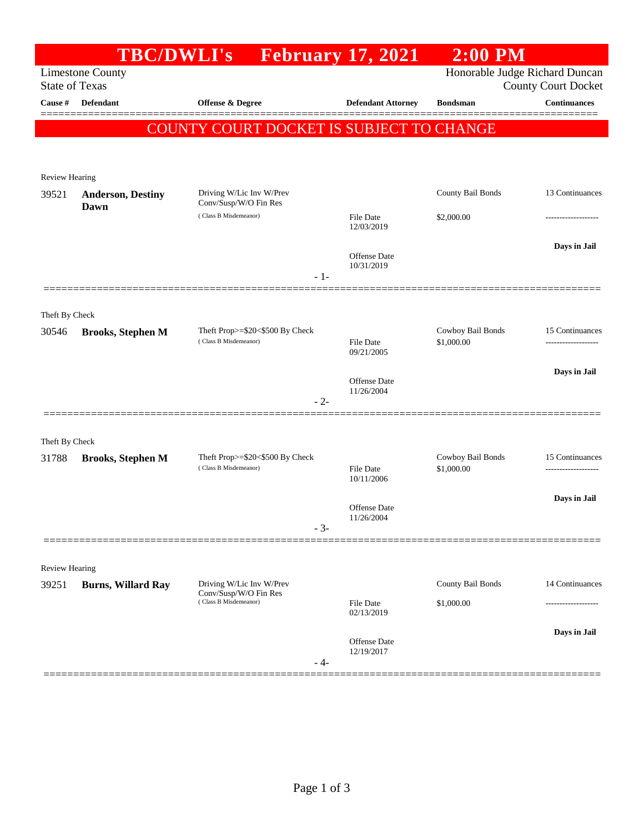|                       | <b>TBC/DWLI's</b>         |                                                                            | <b>February 17, 2021</b>       | $2:00$ PM         |                     |
|-----------------------|---------------------------|----------------------------------------------------------------------------|--------------------------------|-------------------|---------------------|
| <b>State of Texas</b> | <b>Limestone County</b>   | Honorable Judge Richard Duncan<br><b>County Court Docket</b>               |                                |                   |                     |
| Cause #               | Defendant                 | Offense & Degree                                                           | <b>Defendant Attorney</b>      | <b>Bondsman</b>   | <b>Continuances</b> |
|                       |                           | COUNTY COURT DOCKET IS SUBJECT TO CHANGE                                   |                                |                   |                     |
|                       |                           |                                                                            |                                |                   |                     |
| Review Hearing        |                           |                                                                            |                                |                   |                     |
| 39521                 | <b>Anderson, Destiny</b>  | Driving W/Lic Inv W/Prev                                                   |                                | County Bail Bonds | 13 Continuances     |
|                       | Dawn                      | Conv/Susp/W/O Fin Res<br>(Class B Misdemeanor)                             | File Date<br>12/03/2019        | \$2,000.00        |                     |
|                       |                           |                                                                            |                                |                   | Days in Jail        |
|                       |                           |                                                                            | Offense Date<br>10/31/2019     |                   |                     |
|                       |                           | $-1-$                                                                      |                                |                   |                     |
| Theft By Check        |                           |                                                                            |                                |                   |                     |
| 30546                 | <b>Brooks, Stephen M</b>  | Theft Prop>=\$20<\$500 By Check                                            |                                | Cowboy Bail Bonds | 15 Continuances     |
|                       |                           | (Class B Misdemeanor)                                                      | File Date<br>09/21/2005        | \$1,000.00        | ------------------- |
|                       |                           |                                                                            | <b>Offense</b> Date            |                   | Days in Jail        |
|                       |                           | $-2-$                                                                      | 11/26/2004                     |                   |                     |
|                       |                           |                                                                            |                                |                   |                     |
| Theft By Check        |                           |                                                                            |                                |                   |                     |
| 31788                 | <b>Brooks, Stephen M</b>  | Theft Prop>=\$20<\$500 By Check<br>(Class B Misdemeanor)                   | <b>File Date</b><br>10/11/2006 | Cowboy Bail Bonds | 15 Continuances     |
|                       |                           |                                                                            |                                | \$1,000.00        | ------------------- |
|                       |                           |                                                                            | Offense Date                   |                   | Days in Jail        |
|                       |                           | $-3-$                                                                      | 11/26/2004                     |                   |                     |
|                       |                           |                                                                            |                                |                   |                     |
| <b>Review Hearing</b> |                           |                                                                            |                                |                   |                     |
| 39251                 | <b>Burns, Willard Ray</b> | Driving W/Lic Inv W/Prev<br>Conv/Susp/W/O Fin Res<br>(Class B Misdemeanor) |                                | County Bail Bonds | 14 Continuances     |
|                       |                           |                                                                            | <b>File Date</b><br>02/13/2019 | \$1,000.00        | ---------------     |
|                       |                           |                                                                            | Offense Date                   |                   | Days in Jail        |
|                       |                           | - 4-                                                                       | 12/19/2017                     |                   |                     |
|                       |                           |                                                                            |                                |                   |                     |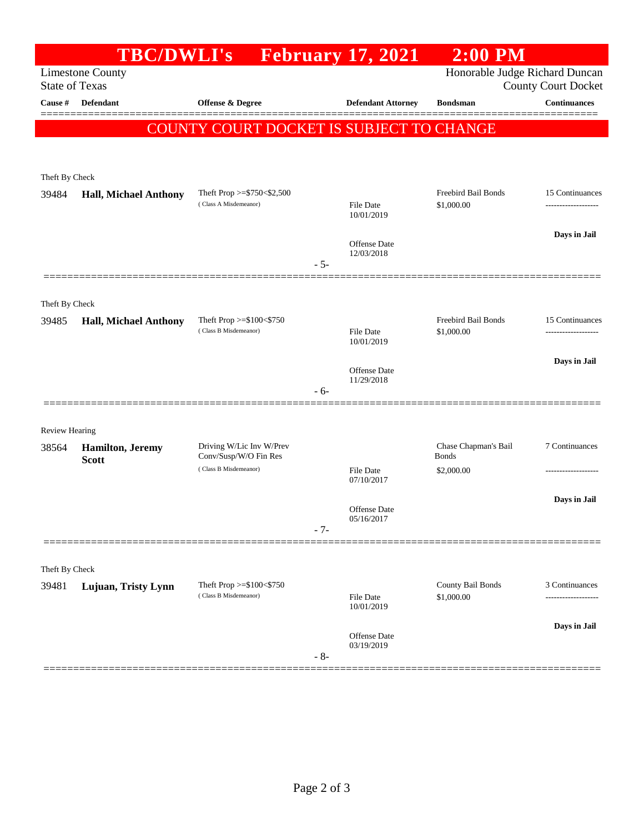|                       | <b>TBC/DWLI's</b>            |                                                              | <b>February 17, 2021</b>          | $2:00$ PM                         |                                        |
|-----------------------|------------------------------|--------------------------------------------------------------|-----------------------------------|-----------------------------------|----------------------------------------|
| <b>State of Texas</b> | <b>Limestone County</b>      | Honorable Judge Richard Duncan<br><b>County Court Docket</b> |                                   |                                   |                                        |
| Cause #               | Defendant                    | Offense & Degree                                             | <b>Defendant Attorney</b>         | <b>Bondsman</b>                   | <b>Continuances</b>                    |
|                       |                              | COUNTY COURT DOCKET IS SUBJECT TO CHANGE                     |                                   |                                   |                                        |
|                       |                              |                                                              |                                   |                                   |                                        |
| Theft By Check        |                              |                                                              |                                   |                                   |                                        |
| 39484                 | <b>Hall, Michael Anthony</b> | Theft Prop $>=$ \$750 $<$ \$2,500                            |                                   | Freebird Bail Bonds               | 15 Continuances                        |
|                       |                              | (Class A Misdemeanor)                                        | File Date<br>10/01/2019           | \$1,000.00                        | -------------------                    |
|                       |                              |                                                              | <b>Offense Date</b>               |                                   | Days in Jail                           |
|                       |                              |                                                              | 12/03/2018<br>$-5-$               |                                   |                                        |
|                       |                              |                                                              |                                   |                                   |                                        |
| Theft By Check        |                              |                                                              |                                   |                                   |                                        |
| 39485                 | <b>Hall, Michael Anthony</b> | Theft Prop >=\$100<\$750<br>(Class B Misdemeanor)            | <b>File Date</b>                  | Freebird Bail Bonds<br>\$1,000.00 | 15 Continuances<br>------------------- |
|                       |                              |                                                              | 10/01/2019                        |                                   |                                        |
|                       |                              |                                                              | <b>Offense Date</b><br>11/29/2018 |                                   | Days in Jail                           |
|                       |                              |                                                              | - 6-                              |                                   |                                        |
| <b>Review Hearing</b> |                              |                                                              |                                   |                                   |                                        |
| 38564                 | <b>Hamilton</b> , Jeremy     | Driving W/Lic Inv W/Prev                                     |                                   | Chase Chapman's Bail              | 7 Continuances                         |
|                       | <b>Scott</b>                 | Conv/Susp/W/O Fin Res<br>(Class B Misdemeanor)               | File Date                         | Bonds<br>\$2,000.00               |                                        |
|                       |                              |                                                              | 07/10/2017                        |                                   | Days in Jail                           |
|                       |                              |                                                              | <b>Offense Date</b><br>05/16/2017 |                                   |                                        |
|                       |                              |                                                              | $-7-$                             |                                   |                                        |
| Theft By Check        |                              |                                                              |                                   |                                   |                                        |
| 39481                 | Lujuan, Tristy Lynn          | Theft Prop $>= $100 < $750$                                  |                                   | County Bail Bonds                 | 3 Continuances                         |
|                       |                              | (Class B Misdemeanor)                                        | <b>File Date</b><br>10/01/2019    | \$1,000.00                        |                                        |
|                       |                              |                                                              | Offense Date                      |                                   | Days in Jail                           |
|                       |                              |                                                              | 03/19/2019<br>$-8-$               |                                   |                                        |
|                       |                              |                                                              |                                   |                                   |                                        |